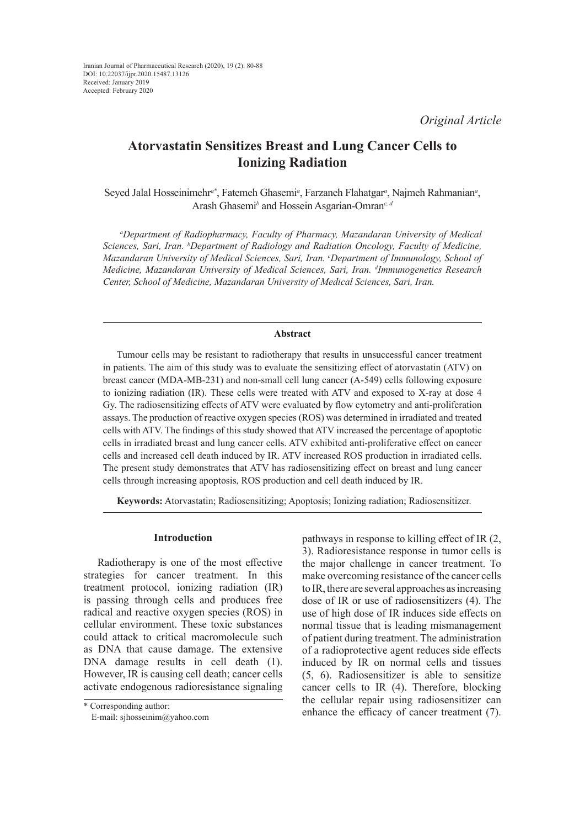*Original Article*

# **Atorvastatin Sensitizes Breast and Lung Cancer Cells to Ionizing Radiation**

Seyed Jalal Hosseinimehr*a\**, Fatemeh Ghasemi*<sup>a</sup>* , Farzaneh Flahatgar*<sup>a</sup>* , Najmeh Rahmanian*<sup>a</sup>* , Arash Ghasemi*<sup>b</sup>* and Hossein Asgarian-Omran*c, d*

*a Department of Radiopharmacy, Faculty of Pharmacy, Mazandaran University of Medical Sciences, Sari, Iran. b Department of Radiology and Radiation Oncology, Faculty of Medicine, Mazandaran University of Medical Sciences, Sari, Iran. c Department of Immunology, School of Medicine, Mazandaran University of Medical Sciences, Sari, Iran. d Immunogenetics Research Center, School of Medicine, Mazandaran University of Medical Sciences, Sari, Iran.*

### **Abstract**

Tumour cells may be resistant to radiotherapy that results in unsuccessful cancer treatment in patients. The aim of this study was to evaluate the sensitizing effect of atorvastatin (ATV) on breast cancer (MDA-MB-231) and non-small cell lung cancer (A-549) cells following exposure to ionizing radiation (IR). These cells were treated with ATV and exposed to X-ray at dose 4 Gy. The radiosensitizing effects of ATV were evaluated by flow cytometry and anti-proliferation assays. The production of reactive oxygen species (ROS) was determined in irradiated and treated cells with ATV. The findings of this study showed that ATV increased the percentage of apoptotic cells in irradiated breast and lung cancer cells. ATV exhibited anti-proliferative effect on cancer cells and increased cell death induced by IR. ATV increased ROS production in irradiated cells. The present study demonstrates that ATV has radiosensitizing effect on breast and lung cancer cells through increasing apoptosis, ROS production and cell death induced by IR.

**Keywords:** Atorvastatin; Radiosensitizing; Apoptosis; Ionizing radiation; Radiosensitizer.

### **Introduction**

Radiotherapy is one of the most effective strategies for cancer treatment. In this treatment protocol, ionizing radiation (IR) is passing through cells and produces free radical and reactive oxygen species (ROS) in cellular environment. These toxic substances could attack to critical macromolecule such as DNA that cause damage. The extensive DNA damage results in cell death (1). However, IR is causing cell death; cancer cells activate endogenous radioresistance signaling

\* Corresponding author: E-mail: sjhosseinim@yahoo.com pathways in response to killing effect of IR (2, 3). Radioresistance response in tumor cells is the major challenge in cancer treatment. To make overcoming resistance of the cancer cells to IR, there are several approaches as increasing dose of IR or use of radiosensitizers (4). The use of high dose of IR induces side effects on normal tissue that is leading mismanagement of patient during treatment. The administration of a radioprotective agent reduces side effects induced by IR on normal cells and tissues (5, 6). Radiosensitizer is able to sensitize cancer cells to IR (4). Therefore, blocking the cellular repair using radiosensitizer can enhance the efficacy of cancer treatment (7).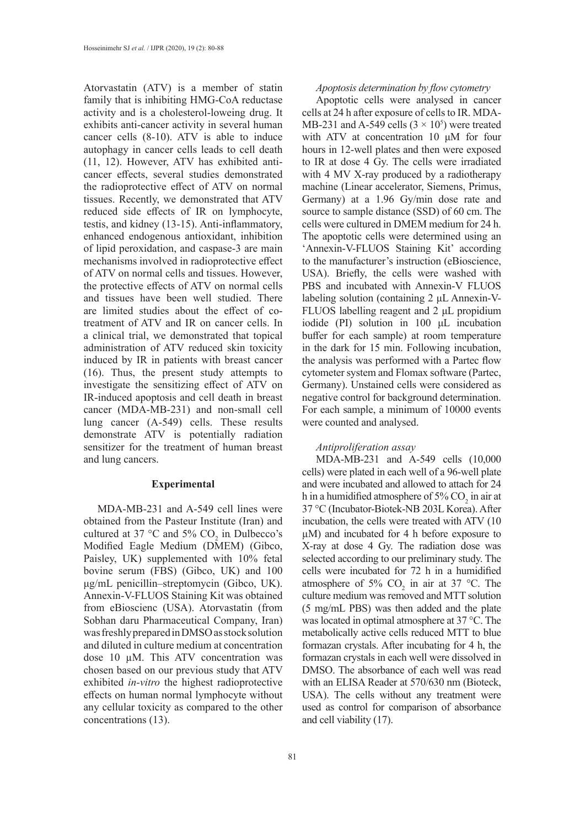Atorvastatin (ATV) is a member of statin family that is inhibiting HMG-CoA reductase activity and is a cholesterol-loweing drug. It exhibits anti-cancer activity in several human cancer cells (8-10). ATV is able to induce autophagy in cancer cells leads to cell death (11, 12). However, ATV has exhibited anticancer effects, several studies demonstrated the radioprotective effect of ATV on normal tissues. Recently, we demonstrated that ATV reduced side effects of IR on lymphocyte, testis, and kidney (13-15). Anti-inflammatory, enhanced endogenous antioxidant, inhibition of lipid peroxidation, and caspase-3 are main mechanisms involved in radioprotective effect of ATV on normal cells and tissues. However, the protective effects of ATV on normal cells and tissues have been well studied. There are limited studies about the effect of cotreatment of ATV and IR on cancer cells. In a clinical trial, we demonstrated that topical administration of ATV reduced skin toxicity induced by IR in patients with breast cancer (16). Thus, the present study attempts to investigate the sensitizing effect of ATV on IR-induced apoptosis and cell death in breast cancer (MDA-MB-231) and non-small cell lung cancer (A-549) cells. These results demonstrate ATV is potentially radiation sensitizer for the treatment of human breast and lung cancers.

#### **Experimental**

MDA-MB-231 and A-549 cell lines were obtained from the Pasteur Institute (Iran) and cultured at 37 °C and 5%  $CO_2$  in Dulbecco's Modified Eagle Medium (DMEM) (Gibco, Paisley, UK) supplemented with 10% fetal bovine serum (FBS) (Gibco, UK) and 100 μg/mL penicillin–streptomycin (Gibco, UK). Annexin-V-FLUOS Staining Kit was obtained from eBioscienc (USA). Atorvastatin (from Sobhan daru Pharmaceutical Company, Iran) was freshly prepared in DMSO as stock solution and diluted in culture medium at concentration dose 10 µM. This ATV concentration was chosen based on our previous study that ATV exhibited *in-vitro* the highest radioprotective effects on human normal lymphocyte without any cellular toxicity as compared to the other concentrations (13).

### *Apoptosis determination by flow cytometry*

Apoptotic cells were analysed in cancer cells at 24 h after exposure of cells to IR. MDA-MB-231 and A-549 cells  $(3 \times 10^5)$  were treated with ATV at concentration 10 μM for four hours in 12-well plates and then were exposed to IR at dose 4 Gy. The cells were irradiated with 4 MV X-ray produced by a radiotherapy machine (Linear accelerator, Siemens, Primus, Germany) at a 1.96 Gy/min dose rate and source to sample distance (SSD) of 60 cm. The cells were cultured in DMEM medium for 24 h. The apoptotic cells were determined using an 'Annexin-V-FLUOS Staining Kit' according to the manufacturer's instruction (eBioscience, USA). Briefly, the cells were washed with PBS and incubated with Annexin-V FLUOS labeling solution (containing 2 μL Annexin-V-FLUOS labelling reagent and 2 μL propidium iodide (PI) solution in 100 μL incubation buffer for each sample) at room temperature in the dark for 15 min. Following incubation, the analysis was performed with a Partec flow cytometer system and Flomax software (Partec, Germany). Unstained cells were considered as negative control for background determination. For each sample, a minimum of 10000 events were counted and analysed.

### *Antiproliferation assay*

MDA-MB-231 and A-549 cells (10,000 cells) were plated in each well of a 96-well plate and were incubated and allowed to attach for 24 h in a humidified atmosphere of 5%  $\mathrm{CO}_2$  in air at 37 °C (Incubator-Biotek-NB 203L Korea). After incubation, the cells were treated with ATV (10 µM) and incubated for 4 h before exposure to X-ray at dose 4 Gy. The radiation dose was selected according to our preliminary study. The cells were incubated for 72 h in a humidified atmosphere of 5%  $CO<sub>2</sub>$  in air at 37 °C. The culture medium was removed and MTT solution (5 mg/mL PBS) was then added and the plate was located in optimal atmosphere at 37 °C. The metabolically active cells reduced MTT to blue formazan crystals. After incubating for 4 h, the formazan crystals in each well were dissolved in DMSO. The absorbance of each well was read with an ELISA Reader at 570/630 nm (Bioteck, USA). The cells without any treatment were used as control for comparison of absorbance and cell viability (17).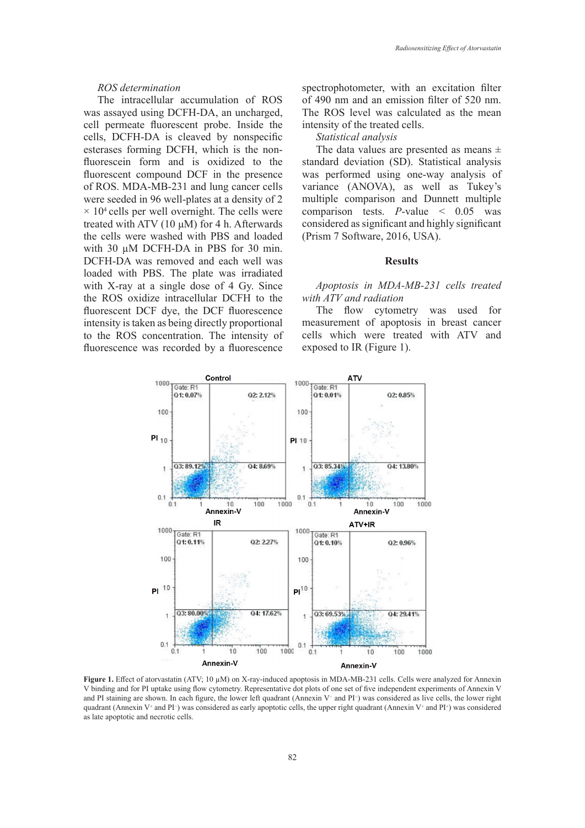#### *ROS determination*

The intracellular accumulation of ROS was assayed using DCFH-DA, an uncharged, cell permeate fluorescent probe. Inside the cells, DCFH-DA is cleaved by nonspecific esterases forming DCFH, which is the nonfluorescein form and is oxidized to the fluorescent compound DCF in the presence of ROS. MDA-MB-231 and lung cancer cells were seeded in 96 well-plates at a density of 2  $\times$  10<sup>4</sup> cells per well overnight. The cells were treated with ATV  $(10 \mu M)$  for 4 h. Afterwards the cells were washed with PBS and loaded with 30 μM DCFH-DA in PBS for 30 min. DCFH-DA was removed and each well was loaded with PBS. The plate was irradiated with X-ray at a single dose of 4 Gy. Since the ROS oxidize intracellular DCFH to the fluorescent DCF dye, the DCF fluorescence intensity is taken as being directly proportional to the ROS concentration. The intensity of fluorescence was recorded by a fluorescence spectrophotometer, with an excitation filter of 490 nm and an emission filter of 520 nm. The ROS level was calculated as the mean intensity of the treated cells.

*Statistical analysis*

The data values are presented as means  $\pm$ standard deviation (SD). Statistical analysis was performed using one-way analysis of variance (ANOVA), as well as Tukey's multiple comparison and Dunnett multiple comparison tests. *P*-value < 0.05 was considered as significant and highly significant (Prism 7 Software, 2016, USA).

### **Results**

## *Apoptosis in MDA-MB-231 cells treated with ATV and radiation*

The flow cytometry was used for measurement of apoptosis in breast cancer cells which were treated with ATV and exposed to IR (Figure 1).



**Figure 1.** Effect of atorvastatin (ATV; 10 µM) on X-ray-induced apoptosis in MDA-MB-231 cells. Cells were analyzed for Annexin V binding and for PI uptake using flow cytometry. Representative dot plots of one set of five independent experiments of Annexin V and PI staining are shown. In each figure, the lower left quadrant (Annexin V− and PI<sup>−</sup> ) was considered as live cells, the lower right quadrant (Annexin V<sup>+</sup> and PI<sup>-</sup>) was considered as early apoptotic cells, the upper right quadrant (Annexin V<sup>+</sup> and PI<sup>+</sup>) was considered as late apoptotic and necrotic cells.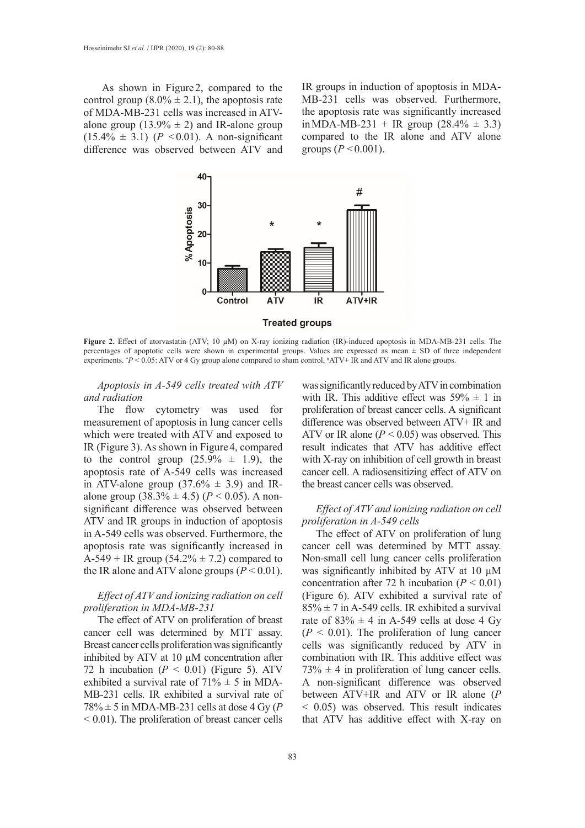As shown in Figure 2, compared to the control group  $(8.0\% \pm 2.1)$ , the apoptosis rate of MDA-MB-231 cells was increased in ATValone group (13.9%  $\pm$  2) and IR-alone group  $(15.4\% \pm 3.1)$  ( $P < 0.01$ ). A non-significant difference was observed between ATV and

IR groups in induction of apoptosis in MDA-MB-231 cells was observed. Furthermore, the apoptosis rate was significantly increased in MDA-MB-231 + IR group  $(28.4\% \pm 3.3)$ compared to the IR alone and ATV alone groups  $(P < 0.001)$ .



**Figure 2.** Effect of atorvastatin (ATV; 10 µM) on X-ray ionizing radiation (IR)-induced apoptosis in MDA-MB-231 cells. The percentages of apoptotic cells were shown in experimental groups. Values are expressed as mean  $\pm$  SD of three independent experiments. *\*P* < 0.05: ATV or 4 Gy group alone compared to sham control, *\*ATV*+ IR and ATV and IR alone groups.

*Apoptosis in A-549 cells treated with ATV and radiation*

The flow cytometry was used for measurement of apoptosis in lung cancer cells which were treated with ATV and exposed to IR (Figure 3). As shown in Figure4, compared to the control group  $(25.9\% \pm 1.9)$ , the apoptosis rate of A-549 cells was increased in ATV-alone group  $(37.6\% \pm 3.9)$  and IRalone group  $(38.3\% \pm 4.5)$   $(P < 0.05)$ . A nonsignificant difference was observed between ATV and IR groups in induction of apoptosis in A-549 cells was observed. Furthermore, the apoptosis rate was significantly increased in A-549 + IR group  $(54.2% \pm 7.2)$  compared to the IR alone and ATV alone groups  $(P < 0.01)$ .

## *Effect of ATV and ionizing radiation on cell proliferation in MDA-MB-231*

The effect of ATV on proliferation of breast cancer cell was determined by MTT assay. Breast cancer cells proliferation was significantly inhibited by ATV at 10 µM concentration after 72 h incubation  $(P < 0.01)$  (Figure 5). ATV exhibited a survival rate of  $71\% \pm 5$  in MDA-MB-231 cells. IR exhibited a survival rate of  $78\% \pm 5$  in MDA-MB-231 cells at dose 4 Gy (P) < 0.01). The proliferation of breast cancer cells

was significantly reduced by ATV in combination with IR. This additive effect was  $59\% \pm 1$  in proliferation of breast cancer cells. A significant difference was observed between ATV+ IR and ATV or IR alone  $(P < 0.05)$  was observed. This result indicates that ATV has additive effect with X-ray on inhibition of cell growth in breast cancer cell. A radiosensitizing effect of ATV on the breast cancer cells was observed.

### *Effect of ATV and ionizing radiation on cell proliferation in A-549 cells*

The effect of ATV on proliferation of lung cancer cell was determined by MTT assay. Non-small cell lung cancer cells proliferation was significantly inhibited by ATV at  $10 \mu M$ concentration after 72 h incubation  $(P < 0.01)$ (Figure 6). ATV exhibited a survival rate of  $85\% \pm 7$  in A-549 cells. IR exhibited a survival rate of  $83\% \pm 4$  in A-549 cells at dose 4 Gy  $(P < 0.01)$ . The proliferation of lung cancer cells was significantly reduced by ATV in combination with IR. This additive effect was  $73\% \pm 4$  in proliferation of lung cancer cells. A non-significant difference was observed between ATV+IR and ATV or IR alone (*P* < 0.05) was observed. This result indicates that ATV has additive effect with X-ray on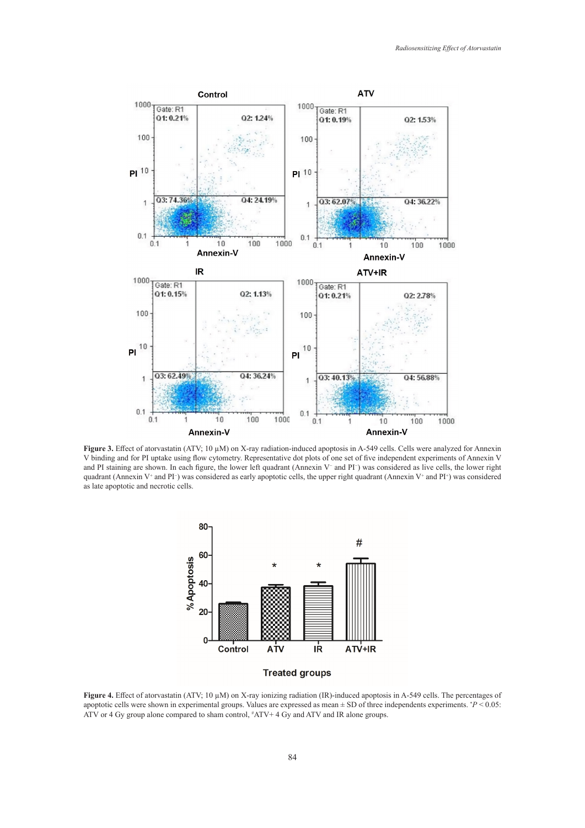

**Figure 3.** Effect of atorvastatin (ATV; 10 µM) on X-ray radiation-induced apoptosis in A-549 cells. Cells were analyzed for Annexin V binding and for PI uptake using flow cytometry. Representative dot plots of one set of five independent experiments of Annexin V and PI staining are shown. In each figure, the lower left quadrant (Annexin V− and PI<sup>−</sup> ) was considered as live cells, the lower right quadrant (Annexin V<sup>+</sup> and PI<sup>-</sup>) was considered as early apoptotic cells, the upper right quadrant (Annexin V<sup>+</sup> and PI<sup>+</sup>) was considered as late apoptotic and necrotic cells.



**Figure 4.** Effect of atorvastatin (ATV; 10 µM) on X-ray ionizing radiation (IR)-induced apoptosis in A-549 cells. The percentages of apoptotic cells were shown in experimental groups. Values are expressed as mean ± SD of three independents experiments. \* *P* < 0.05: ATV or 4 Gy group alone compared to sham control,  $*ATV + 4$  Gy and ATV and IR alone groups.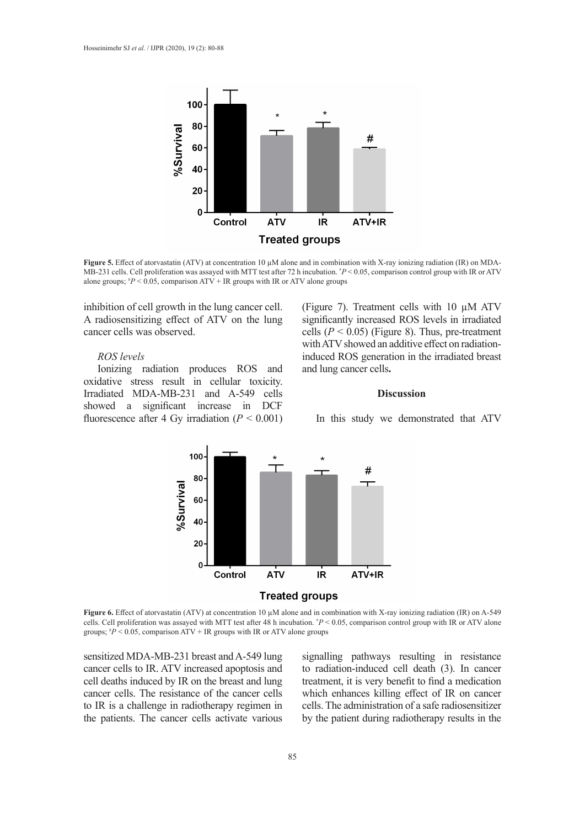

**Figure 5.** Effect of atorvastatin (ATV) at concentration 10  $\mu$ M alone and in combination with X-ray ionizing radiation (IR) on MDA-MB-231 cells. Cell proliferation was assayed with MTT test after 72 h incubation. \* *P* < 0.05, comparison control group with IR or ATV alone groups;  $^{#}P$  < 0.05, comparison ATV + IR groups with IR or ATV alone groups

inhibition of cell growth in the lung cancer cell. A radiosensitizing effect of ATV on the lung cancer cells was observed.

### *ROS levels*

Ionizing radiation produces ROS and oxidative stress result in cellular toxicity. Irradiated MDA-MB-231 and A-549 cells showed a significant increase in DCF fluorescence after 4 Gy irradiation  $(P < 0.001)$  (Figure 7). Treatment cells with 10 µM ATV significantly increased ROS levels in irradiated cells  $(P < 0.05)$  (Figure 8). Thus, pre-treatment with ATV showed an additive effect on radiationinduced ROS generation in the irradiated breast and lung cancer cells**.**

### **Discussion**

In this study we demonstrated that ATV



**Figure 6.** Effect of atorvastatin (ATV) at concentration 10 µM alone and in combination with X-ray ionizing radiation (IR) on A-549 cells. Cell proliferation was assayed with MTT test after 48 h incubation. \* *P* < 0.05, comparison control group with IR or ATV alone groups;  $P < 0.05$ , comparison ATV + IR groups with IR or ATV alone groups

sensitized MDA-MB-231 breast and A-549 lung cancer cells to IR. ATV increased apoptosis and cell deaths induced by IR on the breast and lung cancer cells. The resistance of the cancer cells to IR is a challenge in radiotherapy regimen in the patients. The cancer cells activate various signalling pathways resulting in resistance to radiation-induced cell death (3). In cancer treatment, it is very benefit to find a medication which enhances killing effect of IR on cancer cells. The administration of a safe radiosensitizer by the patient during radiotherapy results in the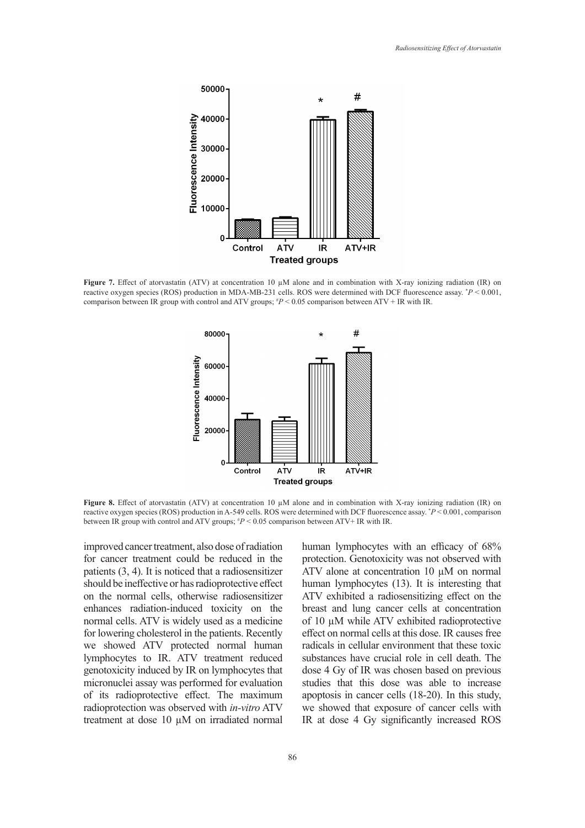

**Figure 7.** Effect of atorvastatin (ATV) at concentration 10 µM alone and in combination with X-ray ionizing radiation (IR) on reactive oxygen species (ROS) production in MDA-MB-231 cells. ROS were determined with DCF fluorescence assay. \* *P* < 0.001, comparison between IR group with control and ATV groups;  $P < 0.05$  comparison between ATV + IR with IR.



**Figure 8.** Effect of atorvastatin (ATV) at concentration 10  $\mu$ M alone and in combination with X-ray ionizing radiation (IR) on reactive oxygen species (ROS) production in A-549 cells. ROS were determined with DCF fluorescence assay. \* *P* < 0.001, comparison between IR group with control and ATV groups; # *P* < 0.05 comparison between ATV+ IR with IR.

improved cancer treatment, also dose of radiation for cancer treatment could be reduced in the patients (3, 4). It is noticed that a radiosensitizer should be ineffective or has radioprotective effect on the normal cells, otherwise radiosensitizer enhances radiation-induced toxicity on the normal cells. ATV is widely used as a medicine for lowering cholesterol in the patients. Recently we showed ATV protected normal human lymphocytes to IR. ATV treatment reduced genotoxicity induced by IR on lymphocytes that micronuclei assay was performed for evaluation of its radioprotective effect. The maximum radioprotection was observed with *in-vitro* ATV treatment at dose 10 µM on irradiated normal human lymphocytes with an efficacy of 68% protection. Genotoxicity was not observed with ATV alone at concentration 10 µM on normal human lymphocytes (13). It is interesting that ATV exhibited a radiosensitizing effect on the breast and lung cancer cells at concentration of 10 µM while ATV exhibited radioprotective effect on normal cells at this dose. IR causes free radicals in cellular environment that these toxic substances have crucial role in cell death. The dose 4 Gy of IR was chosen based on previous studies that this dose was able to increase apoptosis in cancer cells (18-20). In this study, we showed that exposure of cancer cells with IR at dose 4 Gy significantly increased ROS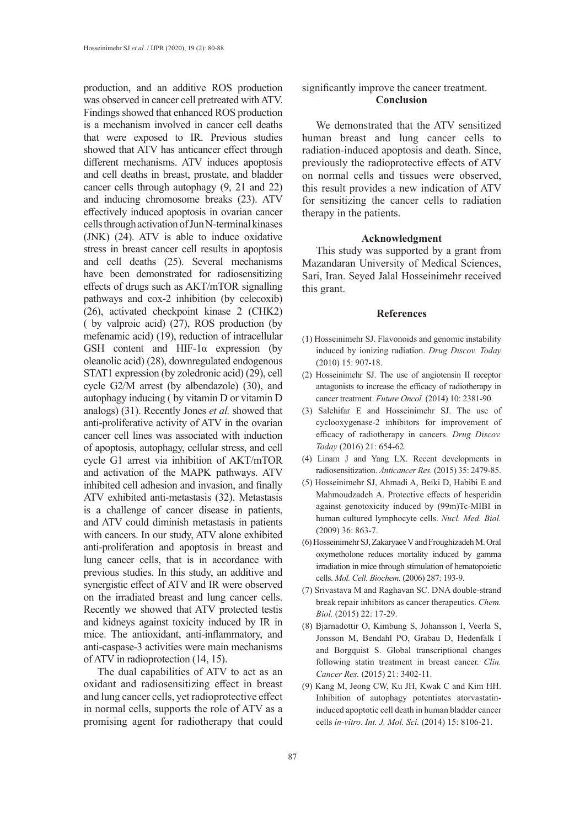production, and an additive ROS production was observed in cancer cell pretreated with ATV. Findings showed that enhanced ROS production is a mechanism involved in cancer cell deaths that were exposed to IR. Previous studies showed that ATV has anticancer effect through different mechanisms. ATV induces apoptosis and cell deaths in breast, prostate, and bladder cancer cells through autophagy (9, 21 and 22) and inducing chromosome breaks (23). ATV effectively induced apoptosis in ovarian cancer cells through activation of Jun N-terminal kinases (JNK) (24). ATV is able to induce oxidative stress in breast cancer cell results in apoptosis and cell deaths (25). Several mechanisms have been demonstrated for radiosensitizing effects of drugs such as AKT/mTOR signalling pathways and cox-2 inhibition (by celecoxib) (26), activated checkpoint kinase 2 (CHK2) ( by valproic acid) (27), ROS production (by mefenamic acid) (19), reduction of intracellular GSH content and HIF-1α expression (by oleanolic acid) (28), downregulated endogenous STAT1 expression (by zoledronic acid) (29), cell cycle G2/M arrest (by albendazole) (30), and autophagy inducing ( by vitamin D or vitamin D analogs) (31). Recently Jones *et al.* showed that anti-proliferative activity of ATV in the ovarian cancer cell lines was associated with induction of apoptosis, autophagy, cellular stress, and cell cycle G1 arrest via inhibition of AKT/mTOR and activation of the MAPK pathways. ATV inhibited cell adhesion and invasion, and finally ATV exhibited anti-metastasis (32). Metastasis is a challenge of cancer disease in patients, and ATV could diminish metastasis in patients with cancers. In our study, ATV alone exhibited anti-proliferation and apoptosis in breast and lung cancer cells, that is in accordance with previous studies. In this study, an additive and synergistic effect of ATV and IR were observed on the irradiated breast and lung cancer cells. Recently we showed that ATV protected testis and kidneys against toxicity induced by IR in mice. The antioxidant, anti-inflammatory, and anti-caspase-3 activities were main mechanisms of ATV in radioprotection (14, 15).

The dual capabilities of ATV to act as an oxidant and radiosensitizing effect in breast and lung cancer cells, yet radioprotective effect in normal cells, supports the role of ATV as a promising agent for radiotherapy that could

### significantly improve the cancer treatment. **Conclusion**

We demonstrated that the ATV sensitized human breast and lung cancer cells to radiation-induced apoptosis and death. Since, previously the radioprotective effects of ATV on normal cells and tissues were observed, this result provides a new indication of ATV for sensitizing the cancer cells to radiation therapy in the patients.

### **Acknowledgment**

This study was supported by a grant from Mazandaran University of Medical Sciences, Sari, Iran. Seyed Jalal Hosseinimehr received this grant.

#### **References**

- (1) Hosseinimehr SJ. Flavonoids and genomic instability induced by ionizing radiation. *Drug Discov. Today* (2010) 15: 907-18.
- (2) Hosseinimehr SJ. The use of angiotensin II receptor antagonists to increase the efficacy of radiotherapy in cancer treatment. *Future Oncol.* (2014) 10: 2381-90.
- (3) Salehifar E and Hosseinimehr SJ. The use of cyclooxygenase-2 inhibitors for improvement of efficacy of radiotherapy in cancers. *Drug Discov. Today* (2016) 21: 654-62.
- (4) Linam J and Yang LX. Recent developments in radiosensitization. *Anticancer Res.* (2015) 35: 2479-85.
- (5) Hosseinimehr SJ, Ahmadi A, Beiki D, Habibi E and Mahmoudzadeh A. Protective effects of hesperidin against genotoxicity induced by (99m)Tc-MIBI in human cultured lymphocyte cells. *Nucl. Med. Biol.*  (2009) 36: 863-7.
- (6) Hosseinimehr SJ, Zakaryaee V and Froughizadeh M. Oral oxymetholone reduces mortality induced by gamma irradiation in mice through stimulation of hematopoietic cells. *Mol. Cell. Biochem.* (2006) 287: 193-9.
- (7) Srivastava M and Raghavan SC. DNA double-strand break repair inhibitors as cancer therapeutics. *Chem. Biol.* (2015) 22: 17-29.
- (8) Bjarnadottir O, Kimbung S, Johansson I, Veerla S, Jonsson M, Bendahl PO, Grabau D, Hedenfalk I and Borgquist S. Global transcriptional changes following statin treatment in breast cancer. *Clin. Cancer Res.* (2015) 21: 3402-11.
- (9) Kang M, Jeong CW, Ku JH, Kwak C and Kim HH. Inhibition of autophagy potentiates atorvastatininduced apoptotic cell death in human bladder cancer cells *in-vitro*. *Int. J. Mol. Sci.* (2014) 15: 8106-21.